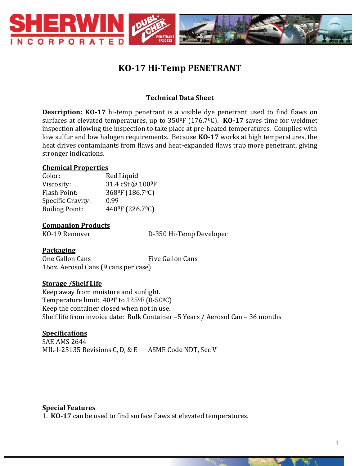

# **KO-17 Hi-Temp PENETRANT**

## **Technical Data Sheet**

**Description: KO-17** hi-temp penetrant is a visible dye penetrant used to find flaws on surfaces at elevated temperatures, up to 350<sup>o</sup>F (176.7<sup>o</sup>C). **KO-17** saves time for weldmet inspection allowing the inspection to take place at pre-heated temperatures. Complies with low sulfur and low halogen requirements. Because **KO-17** works at high temperatures, the heat drives contaminants from flaws and heat-expanded flaws trap more penetrant, giving stronger indications.

#### **Chemical Properties**

| Color:                | Red Liquid                                |
|-----------------------|-------------------------------------------|
| Viscosity:            | 31.4 cSt@100ºF                            |
| <b>Flash Point:</b>   | 368ºF (186.7ºC)                           |
| Specific Gravity:     | 0.99                                      |
| <b>Boiling Point:</b> | 440 <sup>°</sup> F (226.7 <sup>°</sup> C) |

### **Companion Products**

KO-19 Remover D-350 Hi-Temp Developer

### **Packaging**

One Gallon Cans<br>
Five Gallon Cans 16oz. Aerosol Cans (9 cans per case)

### **Storage /Shelf Life**

Keep away from moisture and sunlight. Temperature limit: 40<sup>0</sup>F to 125<sup>0</sup>F (0-50<sup>0</sup>C) Keep the container closed when not in use. Shelf life from invoice date: Bulk Container –5 Years / Aerosol Can – 36 months

# **Specifications**

SAE AMS 2644 MIL-I-25135 Revisions C, D, & E ASME Code NDT, Sec V

#### **Special Features**

1. **KO-17** can be used to find surface flaws at elevated temperatures.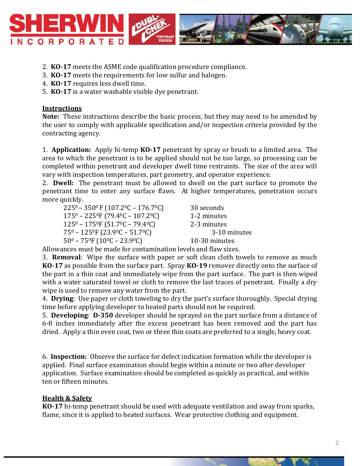

- 2. **KO-17** meets the ASME code qualification procedure compliance.
- 3. **KO-17** meets the requirements for low sulfur and halogen.
- 4. **KO-17** requires less dwell time.
- 5. **KO-17** is a water washable visible dye penetrant.

### **Instructions**

**Note:** These instructions describe the basic process, but they may need to be amended by the user to comply with applicable specification and/or inspection criteria provided by the contracting agency.

1. **Application:** Apply hi-temp **KO-17** penetrant by spray or brush to a limited area. The area to which the penetrant is to be applied should not be too large, so processing can be completed within penetrant and developer dwell time restraints. The size of the area will vary with inspection temperatures, part geometry, and operator experience.

2. **Dwell:** The penetrant must be allowed to dwell on the part surface to promote the penetrant time to enter any surface flaws. At higher temperatures, penetration occurs more quickly.

| $225^0 - 350^0$ F (107.2°C – 176.7°C)                          | 30 seconds    |
|----------------------------------------------------------------|---------------|
| $175^0 - 225^0$ F (79.4 <sup>o</sup> C – 107.2 <sup>o</sup> C) | 1-2 minutes   |
| $125^0 - 175^0$ F (51.7 <sup>o</sup> C – 79.4 <sup>o</sup> C)  | 2-3 minutes   |
| $75^0 - 125^0$ F (23.9 <sup>o</sup> C – 51.7 <sup>o</sup> C)   | 3-10 minutes  |
| $50^0 - 75^0$ F (10 <sup>o</sup> C – 23.9 <sup>o</sup> C)      | 10-30 minutes |

Allowances must be made for contamination levels and flaw sizes.

3. **Removal**: Wipe the surface with paper or soft clean cloth towels to remove as much **KO-17** as possible from the surface part. Spray **KO-19** remover directly onto the surface of the part in a thin coat and immediately wipe from the part surface. The part is then wiped with a water saturated towel or cloth to remove the last traces of penetrant. Finally a dry wipe is used to remove any water from the part.

4. **Drying**: Use paper or cloth toweling to dry the part's surface thoroughly. Special drying time before applying developer to heated parts should not be required.

5. **Developing**: **D-350** developer should be sprayed on the part surface from a distance of 6-8 inches immediately after the excess penetrant has been removed and the part has dried. Apply a thin even coat, two or three thin coats are preferred to a single, heavy coat.

6. **Inspection:** Observe the surface for defect indication formation while the developer is applied. Final surface examination should begin within a minute or two after developer application. Surface examination should be completed as quickly as practical, and within ten or fifteen minutes.

# **Health & Safety**

**KO-17** hi-temp penetrant should be used with adequate ventilation and away from sparks, flame, since it is applied to heated surfaces. Wear protective clothing and equipment.